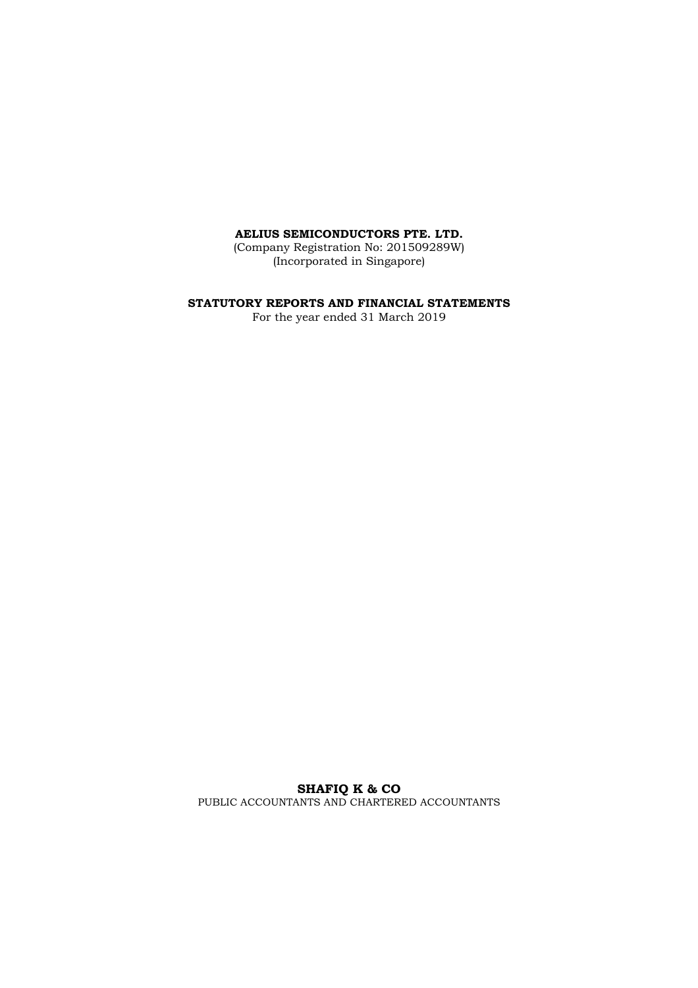(Company Registration No: 201509289W) (Incorporated in Singapore)

**STATUTORY REPORTS AND FINANCIAL STATEMENTS** 

For the year ended 31 March 2019

**SHAFIQ K & CO**  PUBLIC ACCOUNTANTS AND CHARTERED ACCOUNTANTS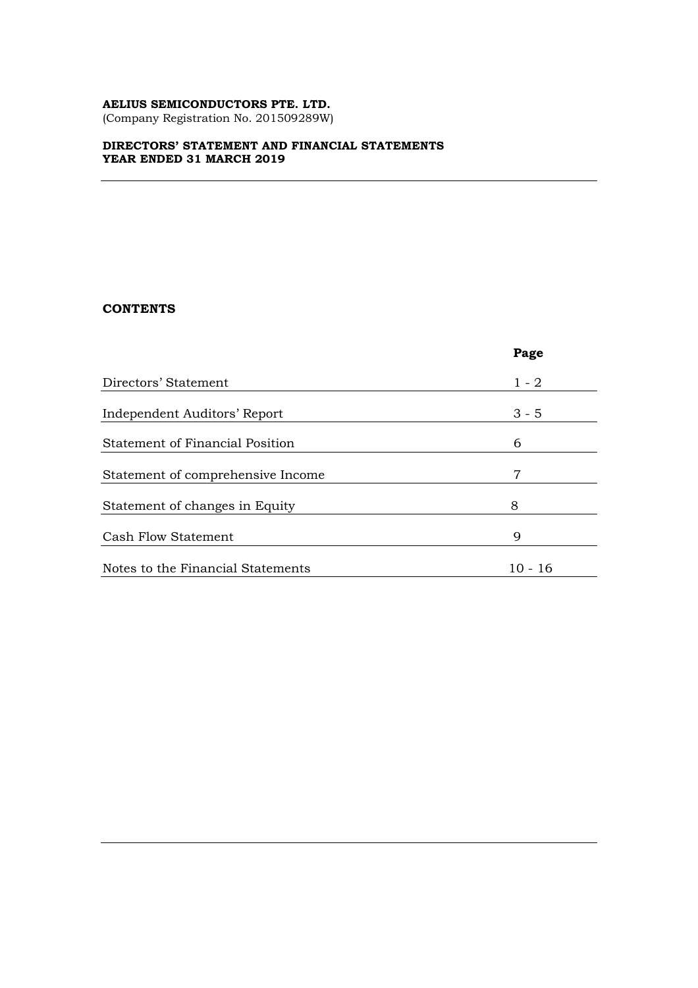(Company Registration No. 201509289W)

### **DIRECTORS' STATEMENT AND FINANCIAL STATEMENTS YEAR ENDED 31 MARCH 2019**

## **CONTENTS**

|                                   | Page    |
|-----------------------------------|---------|
| Directors' Statement              | $1 - 2$ |
| Independent Auditors' Report      | $3 - 5$ |
| Statement of Financial Position   | 6       |
| Statement of comprehensive Income | 7       |
| Statement of changes in Equity    | 8       |
| Cash Flow Statement               | 9       |
| Notes to the Financial Statements | 10 - 16 |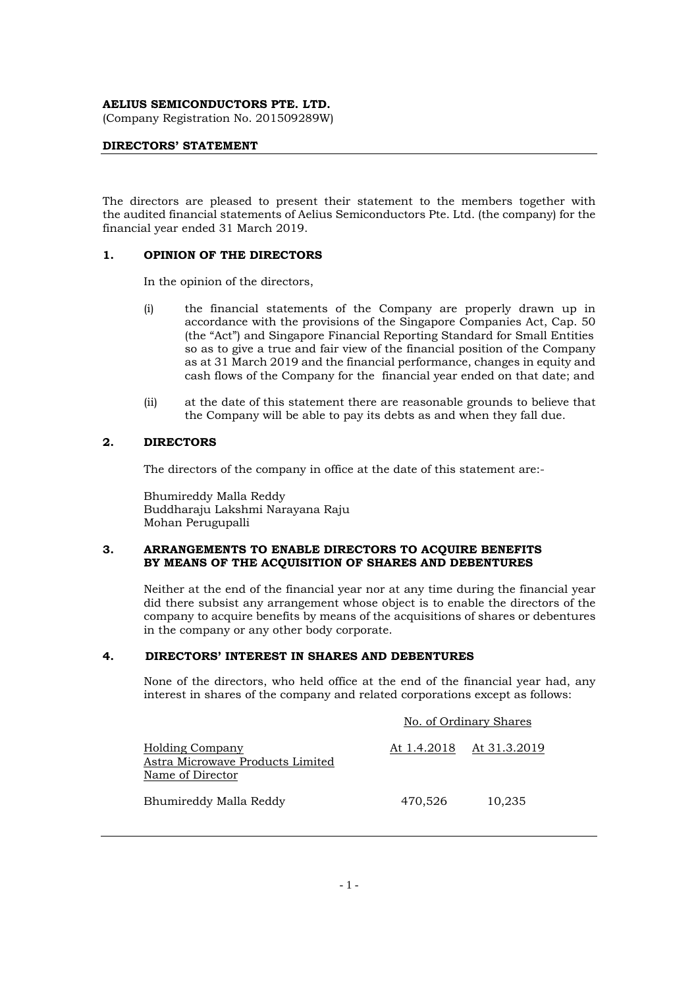(Company Registration No. 201509289W)

#### **DIRECTORS' STATEMENT**

The directors are pleased to present their statement to the members together with the audited financial statements of Aelius Semiconductors Pte. Ltd. (the company) for the financial year ended 31 March 2019.

### **1. OPINION OF THE DIRECTORS**

In the opinion of the directors,

- (i) the financial statements of the Company are properly drawn up in accordance with the provisions of the Singapore Companies Act, Cap. 50 (the "Act") and Singapore Financial Reporting Standard for Small Entities so as to give a true and fair view of the financial position of the Company as at 31 March 2019 and the financial performance, changes in equity and cash flows of the Company for the financial year ended on that date; and
- (ii) at the date of this statement there are reasonable grounds to believe that the Company will be able to pay its debts as and when they fall due.

## **2. DIRECTORS**

The directors of the company in office at the date of this statement are:-

Bhumireddy Malla Reddy Buddharaju Lakshmi Narayana Raju Mohan Perugupalli

#### **3. ARRANGEMENTS TO ENABLE DIRECTORS TO ACQUIRE BENEFITS BY MEANS OF THE ACQUISITION OF SHARES AND DEBENTURES**

Neither at the end of the financial year nor at any time during the financial year did there subsist any arrangement whose object is to enable the directors of the company to acquire benefits by means of the acquisitions of shares or debentures in the company or any other body corporate.

#### **4. DIRECTORS' INTEREST IN SHARES AND DEBENTURES**

None of the directors, who held office at the end of the financial year had, any interest in shares of the company and related corporations except as follows:

|                                                                         | No. of Ordinary Shares |                          |  |
|-------------------------------------------------------------------------|------------------------|--------------------------|--|
| Holding Company<br>Astra Microwave Products Limited<br>Name of Director |                        | At 1.4.2018 At 31.3.2019 |  |
| Bhumireddy Malla Reddy                                                  | 470,526                | 10,235                   |  |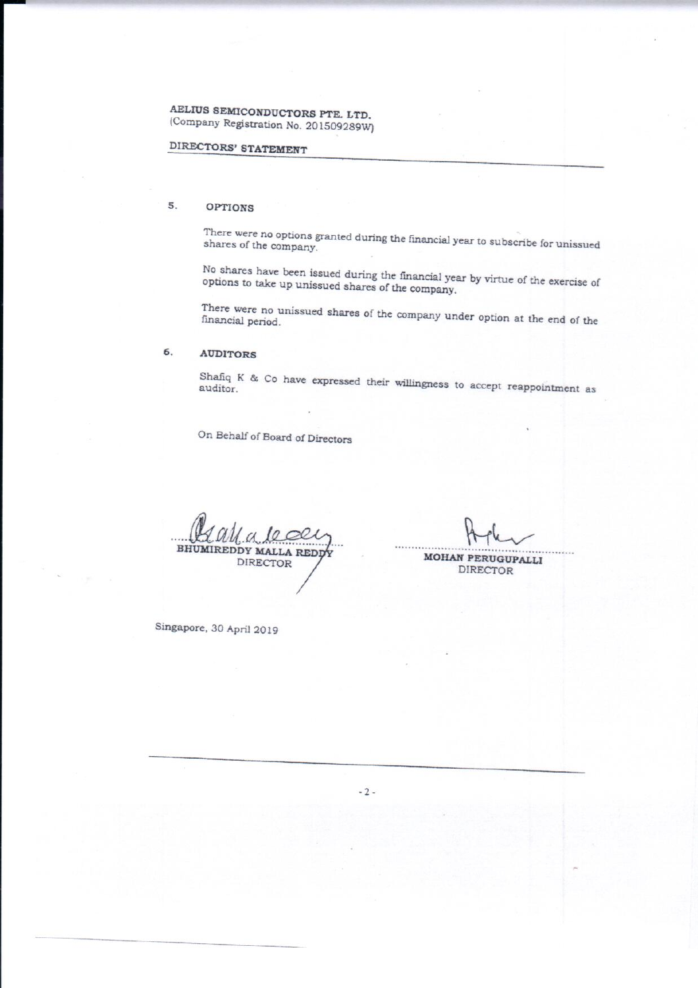## AELIUS SEMICONDUCTORS PTE. LTD. (Company Registration No. 201509289W)

## DIRECTORS' STATEMENT

#### $5<sub>1</sub>$ OPTIONS

There were no options granted during the financial year to subscribe for unissued shares of the company.

No shares have been issued during the financial year by virtue of the exercise of options to take up unissued shares of the company.

There were no unissued shares of the company under option at the end of the

#### б. **AUDITORS**

Shafiq K & Co have expressed their willingness to accept reappointment as

 $-2-$ 

On Behalf of Board of Directors

BHUMIREDDY MALLA REDD DIRECTOR

Singapore, 30 April 2019

MOHAN PERUGUPALLI DIRECTOR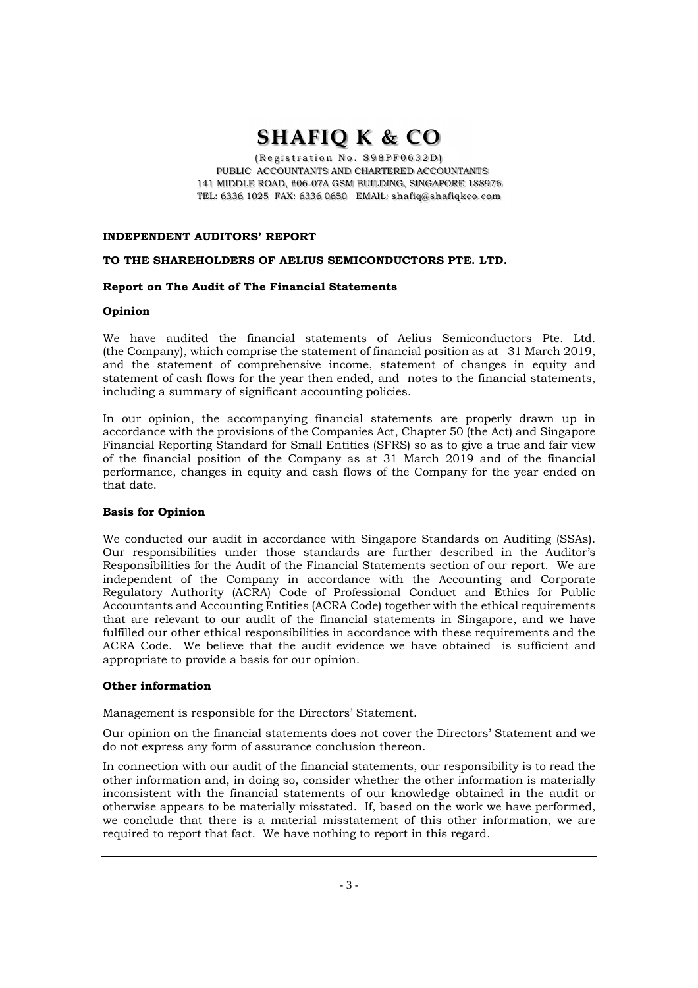# **SHAFIQ K & CO**

(Registration No. S98PF0632D) PUBLIC ACCOUNTANTS AND CHARTERED ACCOUNTANTS 141 MIDDLE ROAD, #06-07A GSM BUILDING, SINGAPORE 188976 TEL: 6336 1025 FAX: 6336 0650 EMAIL: shafiq@shafiqkco.com

#### **INDEPENDENT AUDITORS' REPORT**

#### **TO THE SHAREHOLDERS OF AELIUS SEMICONDUCTORS PTE. LTD.**

#### **Report on The Audit of The Financial Statements**

#### **Opinion**

We have audited the financial statements of Aelius Semiconductors Pte. Ltd. (the Company), which comprise the statement of financial position as at 31 March 2019, and the statement of comprehensive income, statement of changes in equity and statement of cash flows for the year then ended, and notes to the financial statements, including a summary of significant accounting policies.

In our opinion, the accompanying financial statements are properly drawn up in accordance with the provisions of the Companies Act, Chapter 50 (the Act) and Singapore Financial Reporting Standard for Small Entities (SFRS) so as to give a true and fair view of the financial position of the Company as at 31 March 2019 and of the financial performance, changes in equity and cash flows of the Company for the year ended on that date.

#### **Basis for Opinion**

We conducted our audit in accordance with Singapore Standards on Auditing (SSAs). Our responsibilities under those standards are further described in the Auditor's Responsibilities for the Audit of the Financial Statements section of our report. We are independent of the Company in accordance with the Accounting and Corporate Regulatory Authority (ACRA) Code of Professional Conduct and Ethics for Public Accountants and Accounting Entities (ACRA Code) together with the ethical requirements that are relevant to our audit of the financial statements in Singapore, and we have fulfilled our other ethical responsibilities in accordance with these requirements and the ACRA Code. We believe that the audit evidence we have obtained is sufficient and appropriate to provide a basis for our opinion.

#### **Other information**

Management is responsible for the Directors' Statement.

Our opinion on the financial statements does not cover the Directors' Statement and we do not express any form of assurance conclusion thereon.

In connection with our audit of the financial statements, our responsibility is to read the other information and, in doing so, consider whether the other information is materially inconsistent with the financial statements of our knowledge obtained in the audit or otherwise appears to be materially misstated. If, based on the work we have performed, we conclude that there is a material misstatement of this other information, we are required to report that fact. We have nothing to report in this regard.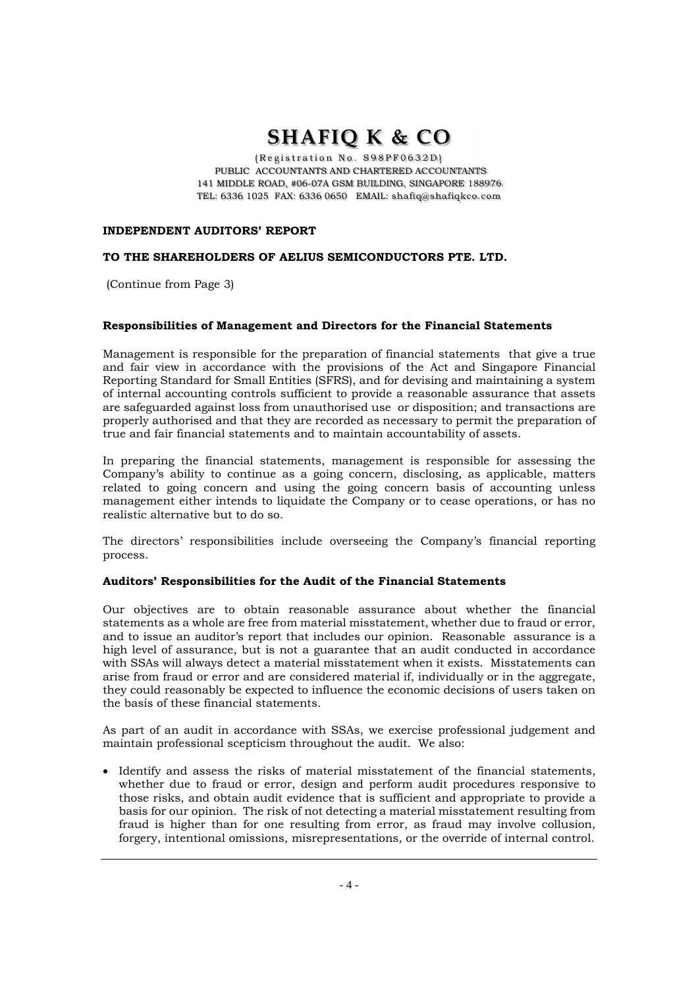# **SHAFIQ K & CO**

(Registration No. S98PF0632D) PUBLIC ACCOUNTANTS AND CHARTERED ACCOUNTANTS 141 MIDDLE ROAD, #06-07A GSM BUILDING, SINGAPORE 188976 TEL: 6336 1025 FAX: 6336 0650 EMAIL: shafiq@shafiqkco.com

#### **INDEPENDENT AUDITORS' REPORT**

#### **TO THE SHAREHOLDERS OF AELIUS SEMICONDUCTORS PTE. LTD.**

(Continue from Page 3)

#### **Responsibilities of Management and Directors for the Financial Statements**

Management is responsible for the preparation of financial statements that give a true and fair view in accordance with the provisions of the Act and Singapore Financial Reporting Standard for Small Entities (SFRS), and for devising and maintaining a system of internal accounting controls sufficient to provide a reasonable assurance that assets are safeguarded against loss from unauthorised use or disposition; and transactions are properly authorised and that they are recorded as necessary to permit the preparation of true and fair financial statements and to maintain accountability of assets.

In preparing the financial statements, management is responsible for assessing the Company's ability to continue as a going concern, disclosing, as applicable, matters related to going concern and using the going concern basis of accounting unless management either intends to liquidate the Company or to cease operations, or has no realistic alternative but to do so.

The directors' responsibilities include overseeing the Company's financial reporting process.

#### **Auditors' Responsibilities for the Audit of the Financial Statements**

Our objectives are to obtain reasonable assurance about whether the financial statements as a whole are free from material misstatement, whether due to fraud or error, and to issue an auditor's report that includes our opinion. Reasonable assurance is a high level of assurance, but is not a guarantee that an audit conducted in accordance with SSAs will always detect a material misstatement when it exists. Misstatements can arise from fraud or error and are considered material if, individually or in the aggregate, they could reasonably be expected to influence the economic decisions of users taken on the basis of these financial statements.

As part of an audit in accordance with SSAs, we exercise professional judgement and maintain professional scepticism throughout the audit. We also:

 Identify and assess the risks of material misstatement of the financial statements, whether due to fraud or error, design and perform audit procedures responsive to those risks, and obtain audit evidence that is sufficient and appropriate to provide a basis for our opinion. The risk of not detecting a material misstatement resulting from fraud is higher than for one resulting from error, as fraud may involve collusion, forgery, intentional omissions, misrepresentations, or the override of internal control.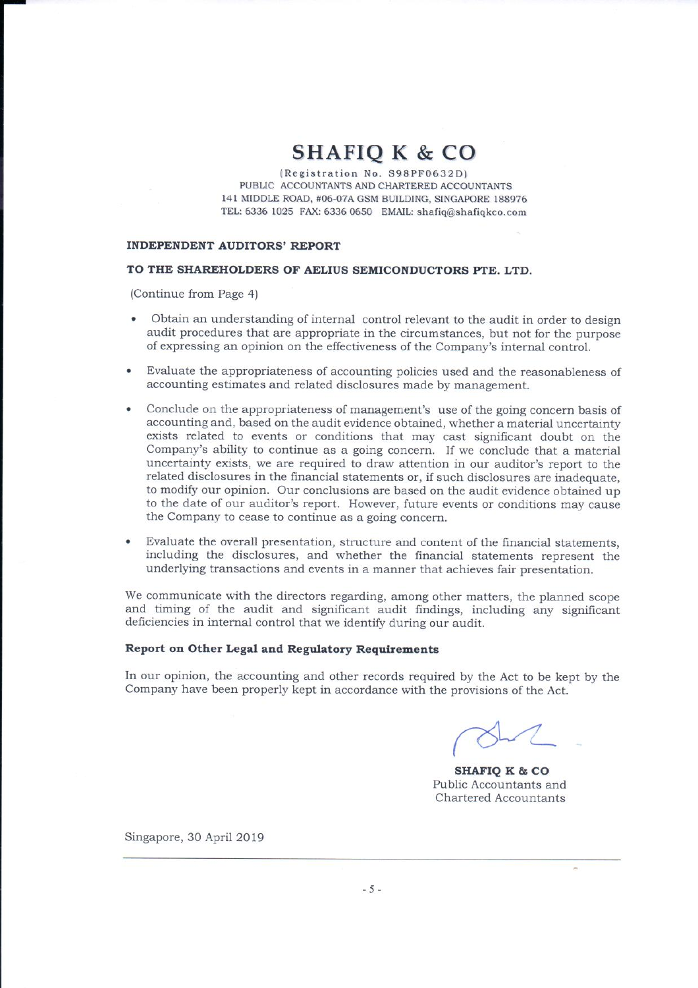## **SHAFIO K & CO**

(Registration No. S98PF0632D) PUBLIC ACCOUNTANTS AND CHARTERED ACCOUNTANTS 141 MIDDLE ROAD, #06-07A GSM BUILDING, SINGAPORE 188976 TEL: 6336 1025 FAX: 6336 0650 EMAIL: shafiq@shafiqkco.com

#### **INDEPENDENT AUDITORS' REPORT**

## TO THE SHAREHOLDERS OF AELIUS SEMICONDUCTORS PTE. LTD.

(Continue from Page 4)

- Obtain an understanding of internal control relevant to the audit in order to design audit procedures that are appropriate in the circumstances, but not for the purpose of expressing an opinion on the effectiveness of the Company's internal control.
- Evaluate the appropriateness of accounting policies used and the reasonableness of  $\bullet$ accounting estimates and related disclosures made by management.
- Conclude on the appropriateness of management's use of the going concern basis of accounting and, based on the audit evidence obtained, whether a material uncertainty exists related to events or conditions that may cast significant doubt on the Company's ability to continue as a going concern. If we conclude that a material uncertainty exists, we are required to draw attention in our auditor's report to the related disclosures in the financial statements or, if such disclosures are inadequate, to modify our opinion. Our conclusions are based on the audit evidence obtained up to the date of our auditor's report. However, future events or conditions may cause the Company to cease to continue as a going concern.
- Evaluate the overall presentation, structure and content of the financial statements, including the disclosures, and whether the financial statements represent the underlying transactions and events in a manner that achieves fair presentation.

We communicate with the directors regarding, among other matters, the planned scope and timing of the audit and significant audit findings, including any significant deficiencies in internal control that we identify during our audit.

#### Report on Other Legal and Regulatory Requirements

In our opinion, the accounting and other records required by the Act to be kept by the Company have been properly kept in accordance with the provisions of the Act.

**SHAFIQ K & CO** Public Accountants and Chartered Accountants

Singapore, 30 April 2019

 $-5-$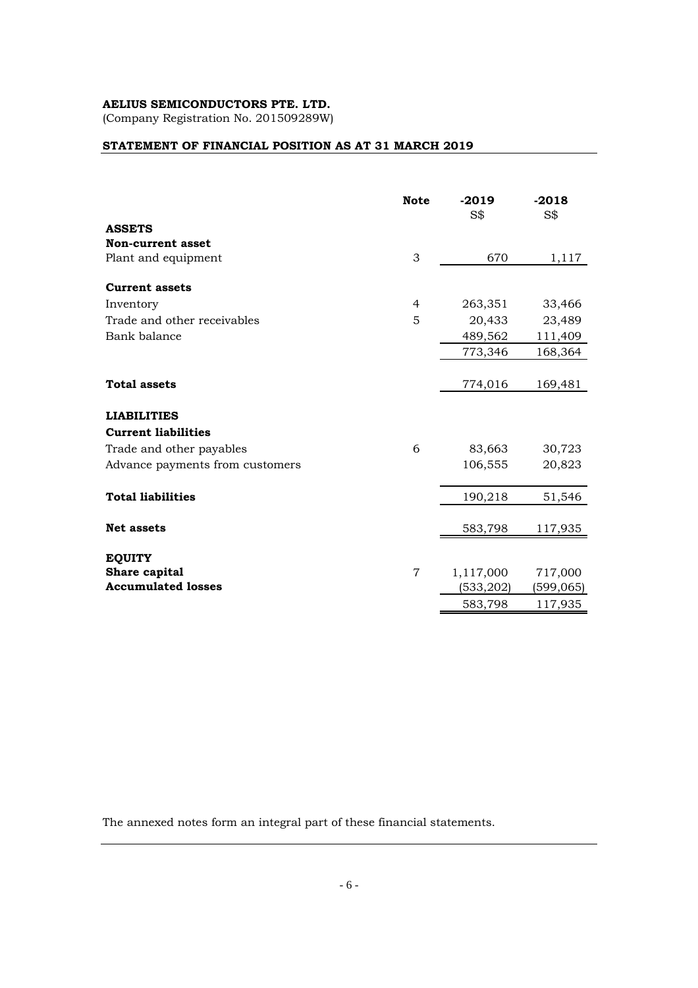(Company Registration No. 201509289W)

## **STATEMENT OF FINANCIAL POSITION AS AT 31 MARCH 2019**

|                                 | <b>Note</b>    | $-2019$<br>S\$ | $-2018$<br>S\$ |
|---------------------------------|----------------|----------------|----------------|
| <b>ASSETS</b>                   |                |                |                |
| <b>Non-current asset</b>        |                |                |                |
| Plant and equipment             | 3              | 670            | 1,117          |
| <b>Current assets</b>           |                |                |                |
| Inventory                       | $\overline{4}$ | 263,351        | 33,466         |
| Trade and other receivables     | 5              | 20,433         | 23,489         |
| Bank balance                    |                | 489,562        | 111,409        |
|                                 |                | 773,346        | 168,364        |
|                                 |                |                |                |
| <b>Total assets</b>             |                | 774,016        | 169,481        |
| <b>LIABILITIES</b>              |                |                |                |
| <b>Current liabilities</b>      |                |                |                |
| Trade and other payables        | 6              | 83,663         | 30,723         |
| Advance payments from customers |                | 106,555        | 20,823         |
|                                 |                |                |                |
| <b>Total liabilities</b>        |                | 190,218        | 51,546         |
|                                 |                |                |                |
| <b>Net assets</b>               |                | 583,798        | 117,935        |
| <b>EQUITY</b>                   |                |                |                |
| Share capital                   | 7              | 1,117,000      | 717,000        |
| <b>Accumulated losses</b>       |                | (533, 202)     | (599,065)      |
|                                 |                | 583,798        | 117,935        |

The annexed notes form an integral part of these financial statements.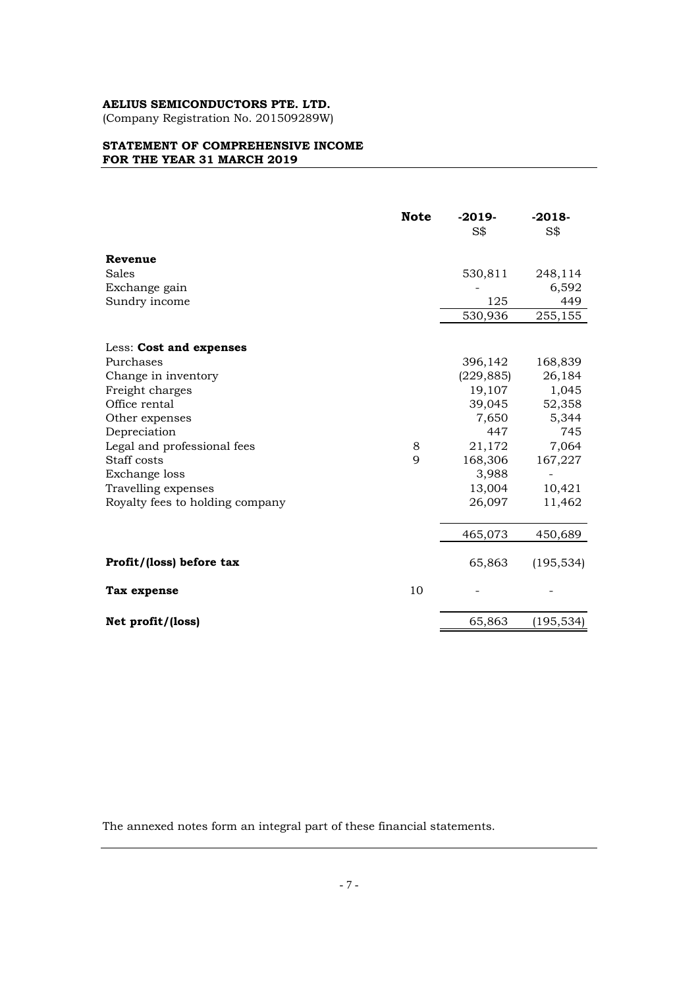(Company Registration No. 201509289W)

### **STATEMENT OF COMPREHENSIVE INCOME FOR THE YEAR 31 MARCH 2019**

|                                 | <b>Note</b> | $-2019-$<br>S\$ | $-2018-$<br>S\$ |
|---------------------------------|-------------|-----------------|-----------------|
| Revenue                         |             |                 |                 |
| Sales                           |             | 530,811         | 248,114         |
| Exchange gain                   |             |                 | 6,592           |
| Sundry income                   |             | 125             | 449             |
|                                 |             | 530,936         | 255,155         |
| Less: Cost and expenses         |             |                 |                 |
| Purchases                       |             | 396,142         | 168,839         |
| Change in inventory             |             | (229, 885)      | 26,184          |
| Freight charges                 |             | 19,107          | 1,045           |
| Office rental                   |             | 39,045          | 52,358          |
| Other expenses                  |             | 7,650           | 5,344           |
| Depreciation                    |             | 447             | 745             |
| Legal and professional fees     | 8           | 21,172          | 7,064           |
| Staff costs                     | 9           | 168,306         | 167,227         |
| Exchange loss                   |             | 3,988           |                 |
| Travelling expenses             |             | 13,004          | 10,421          |
| Royalty fees to holding company |             | 26,097          | 11,462          |
|                                 |             | 465,073         | 450,689         |
| Profit/(loss) before tax        |             | 65,863          | (195, 534)      |
| Tax expense                     | 10          |                 |                 |
| Net profit/(loss)               |             | 65,863          | (195, 534)      |

The annexed notes form an integral part of these financial statements.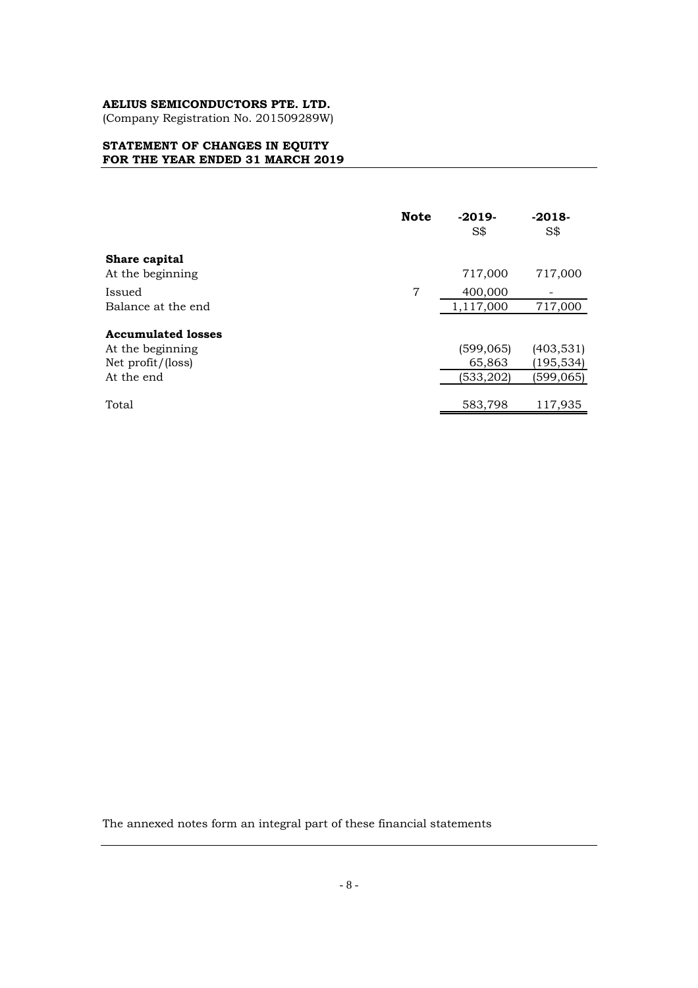(Company Registration No. 201509289W)

### **STATEMENT OF CHANGES IN EQUITY FOR THE YEAR ENDED 31 MARCH 2019**

|                                   | <b>Note</b> | $-2019-$<br>$S\$ | $-2018-$<br>$S\$ |
|-----------------------------------|-------------|------------------|------------------|
| Share capital<br>At the beginning |             | 717,000          | 717,000          |
| Issued                            | 7           | 400,000          |                  |
| Balance at the end                |             | 1,117,000        | 717,000          |
| <b>Accumulated losses</b>         |             |                  |                  |
| At the beginning                  |             | (599, 065)       | (403, 531)       |
| Net $profit/$ (loss)              |             | 65,863           | (195,534)        |
| At the end                        |             | (533, 202)       | (599,065)        |
| Total                             |             | 583,798          | 117,935          |

The annexed notes form an integral part of these financial statements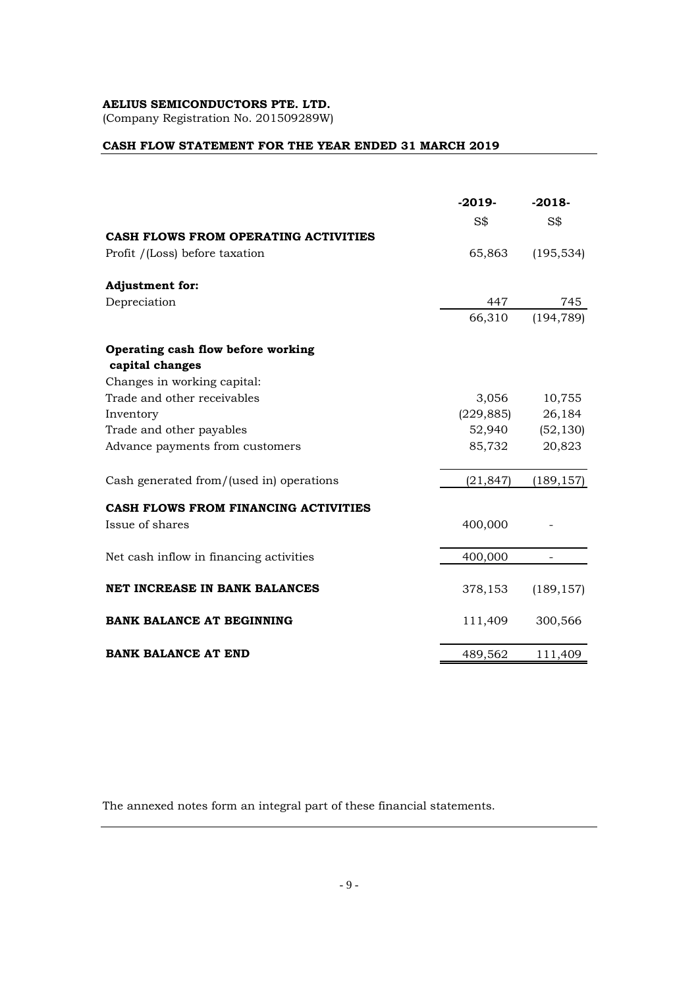(Company Registration No. 201509289W)

## **CASH FLOW STATEMENT FOR THE YEAR ENDED 31 MARCH 2019**

| CASH FLOWS FROM OPERATING ACTIVITIES     | $-2019-$<br>S\$ | $-2018-$<br>S\$ |
|------------------------------------------|-----------------|-----------------|
| Profit /(Loss) before taxation           | 65,863          | (195, 534)      |
| <b>Adjustment for:</b>                   |                 |                 |
| Depreciation                             | 447             | 745             |
|                                          | 66,310          | (194, 789)      |
| Operating cash flow before working       |                 |                 |
| capital changes                          |                 |                 |
| Changes in working capital:              |                 |                 |
| Trade and other receivables              | 3,056           | 10,755          |
| Inventory                                | (229, 885)      | 26,184          |
| Trade and other payables                 | 52,940          | (52, 130)       |
| Advance payments from customers          | 85,732          | 20,823          |
| Cash generated from/(used in) operations | (21, 847)       | (189, 157)      |
| CASH FLOWS FROM FINANCING ACTIVITIES     |                 |                 |
| Issue of shares                          | 400,000         |                 |
| Net cash inflow in financing activities  | 400,000         |                 |
| <b>NET INCREASE IN BANK BALANCES</b>     | 378,153         | (189, 157)      |
| <b>BANK BALANCE AT BEGINNING</b>         | 111,409         | 300,566         |
| <b>BANK BALANCE AT END</b>               | 489,562         | 111,409         |

The annexed notes form an integral part of these financial statements.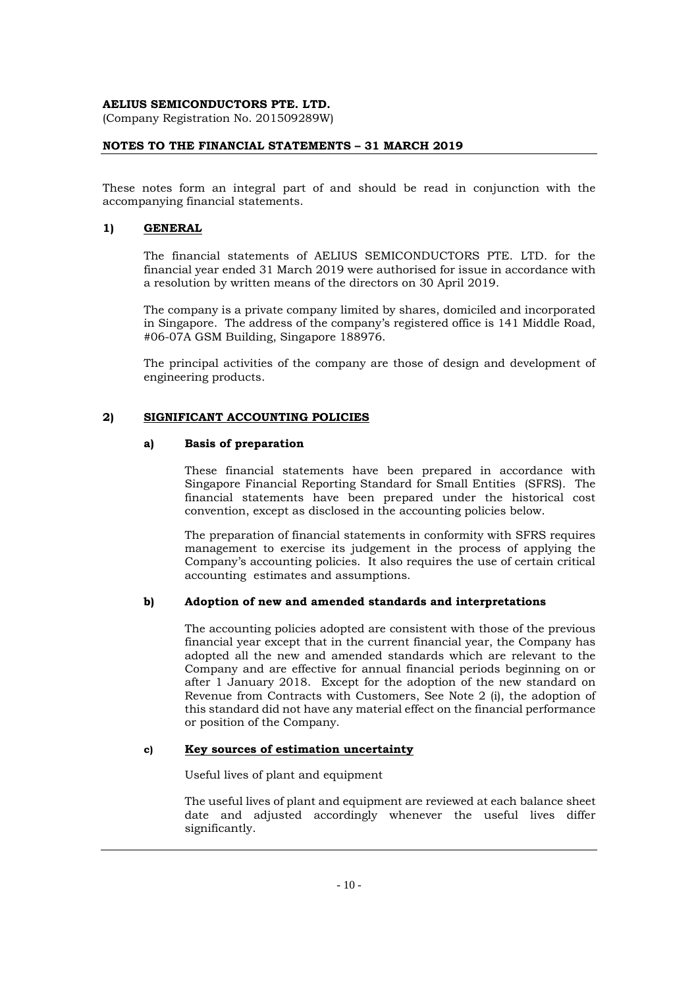(Company Registration No. 201509289W)

#### **NOTES TO THE FINANCIAL STATEMENTS – 31 MARCH 2019**

These notes form an integral part of and should be read in conjunction with the accompanying financial statements.

#### **1) GENERAL**

The financial statements of AELIUS SEMICONDUCTORS PTE. LTD. for the financial year ended 31 March 2019 were authorised for issue in accordance with a resolution by written means of the directors on 30 April 2019.

The company is a private company limited by shares, domiciled and incorporated in Singapore. The address of the company's registered office is 141 Middle Road, #06-07A GSM Building, Singapore 188976.

The principal activities of the company are those of design and development of engineering products.

## **2) SIGNIFICANT ACCOUNTING POLICIES**

#### **a) Basis of preparation**

These financial statements have been prepared in accordance with Singapore Financial Reporting Standard for Small Entities (SFRS). The financial statements have been prepared under the historical cost convention, except as disclosed in the accounting policies below.

The preparation of financial statements in conformity with SFRS requires management to exercise its judgement in the process of applying the Company's accounting policies. It also requires the use of certain critical accounting estimates and assumptions.

#### **b) Adoption of new and amended standards and interpretations**

The accounting policies adopted are consistent with those of the previous financial year except that in the current financial year, the Company has adopted all the new and amended standards which are relevant to the Company and are effective for annual financial periods beginning on or after 1 January 2018. Except for the adoption of the new standard on Revenue from Contracts with Customers, See Note 2 (i), the adoption of this standard did not have any material effect on the financial performance or position of the Company.

## **c) Key sources of estimation uncertainty**

Useful lives of plant and equipment

The useful lives of plant and equipment are reviewed at each balance sheet date and adjusted accordingly whenever the useful lives differ significantly.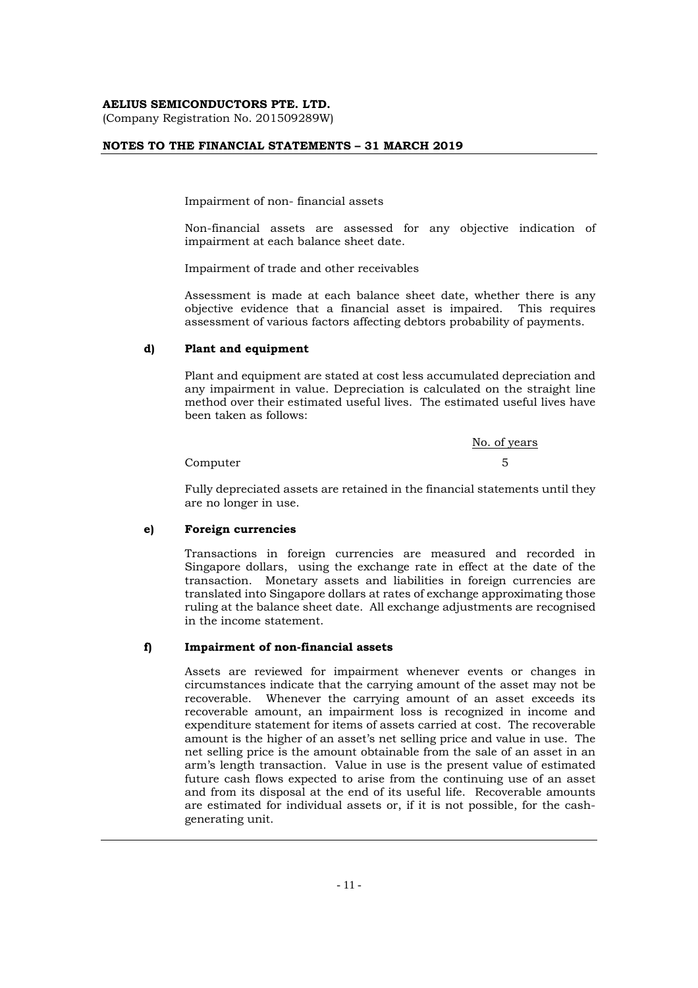(Company Registration No. 201509289W)

#### **NOTES TO THE FINANCIAL STATEMENTS – 31 MARCH 2019**

Impairment of non- financial assets

Non-financial assets are assessed for any objective indication of impairment at each balance sheet date.

Impairment of trade and other receivables

Assessment is made at each balance sheet date, whether there is any objective evidence that a financial asset is impaired. This requires assessment of various factors affecting debtors probability of payments.

#### **d) Plant and equipment**

Plant and equipment are stated at cost less accumulated depreciation and any impairment in value. Depreciation is calculated on the straight line method over their estimated useful lives. The estimated useful lives have been taken as follows:

|          | No. of years |
|----------|--------------|
| Computer |              |

Fully depreciated assets are retained in the financial statements until they are no longer in use.

#### **e) Foreign currencies**

Transactions in foreign currencies are measured and recorded in Singapore dollars, using the exchange rate in effect at the date of the transaction. Monetary assets and liabilities in foreign currencies are translated into Singapore dollars at rates of exchange approximating those ruling at the balance sheet date. All exchange adjustments are recognised in the income statement.

### **f) Impairment of non-financial assets**

Assets are reviewed for impairment whenever events or changes in circumstances indicate that the carrying amount of the asset may not be recoverable. Whenever the carrying amount of an asset exceeds its recoverable amount, an impairment loss is recognized in income and expenditure statement for items of assets carried at cost. The recoverable amount is the higher of an asset's net selling price and value in use. The net selling price is the amount obtainable from the sale of an asset in an arm's length transaction. Value in use is the present value of estimated future cash flows expected to arise from the continuing use of an asset and from its disposal at the end of its useful life. Recoverable amounts are estimated for individual assets or, if it is not possible, for the cashgenerating unit.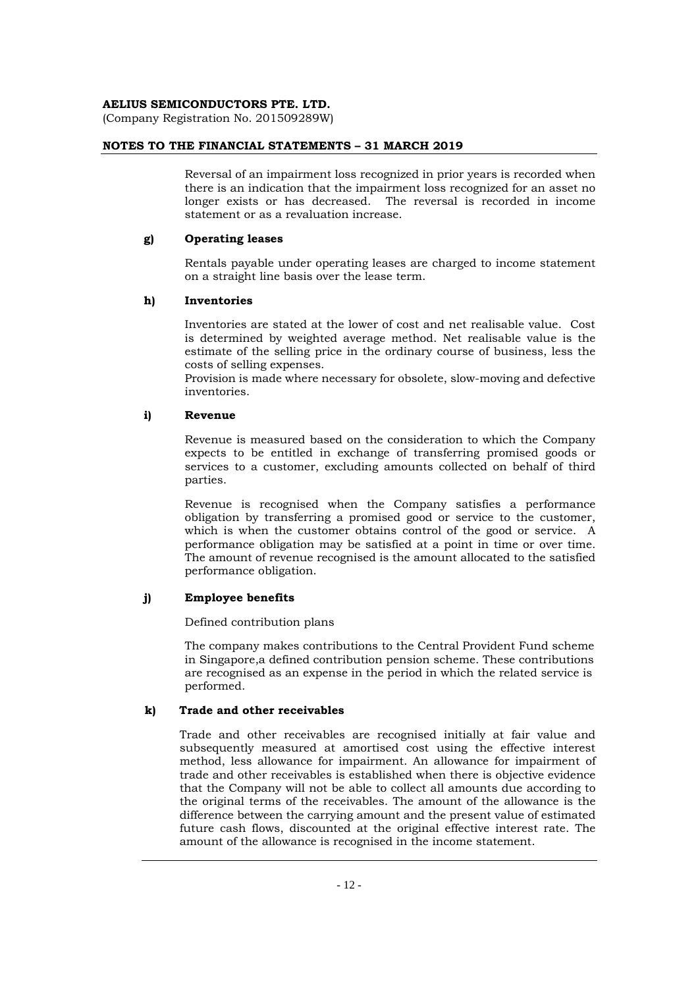(Company Registration No. 201509289W)

#### **NOTES TO THE FINANCIAL STATEMENTS – 31 MARCH 2019**

Reversal of an impairment loss recognized in prior years is recorded when there is an indication that the impairment loss recognized for an asset no longer exists or has decreased. The reversal is recorded in income statement or as a revaluation increase.

## **g) Operating leases**

Rentals payable under operating leases are charged to income statement on a straight line basis over the lease term.

## **h) Inventories**

Inventories are stated at the lower of cost and net realisable value. Cost is determined by weighted average method. Net realisable value is the estimate of the selling price in the ordinary course of business, less the costs of selling expenses.

Provision is made where necessary for obsolete, slow-moving and defective inventories.

## **i) Revenue**

Revenue is measured based on the consideration to which the Company expects to be entitled in exchange of transferring promised goods or services to a customer, excluding amounts collected on behalf of third parties.

Revenue is recognised when the Company satisfies a performance obligation by transferring a promised good or service to the customer, which is when the customer obtains control of the good or service. A performance obligation may be satisfied at a point in time or over time. The amount of revenue recognised is the amount allocated to the satisfied performance obligation.

## **j) Employee benefits**

Defined contribution plans

 The company makes contributions to the Central Provident Fund scheme in Singapore,a defined contribution pension scheme. These contributions are recognised as an expense in the period in which the related service is performed.

## **k) Trade and other receivables**

Trade and other receivables are recognised initially at fair value and subsequently measured at amortised cost using the effective interest method, less allowance for impairment. An allowance for impairment of trade and other receivables is established when there is objective evidence that the Company will not be able to collect all amounts due according to the original terms of the receivables. The amount of the allowance is the difference between the carrying amount and the present value of estimated future cash flows, discounted at the original effective interest rate. The amount of the allowance is recognised in the income statement.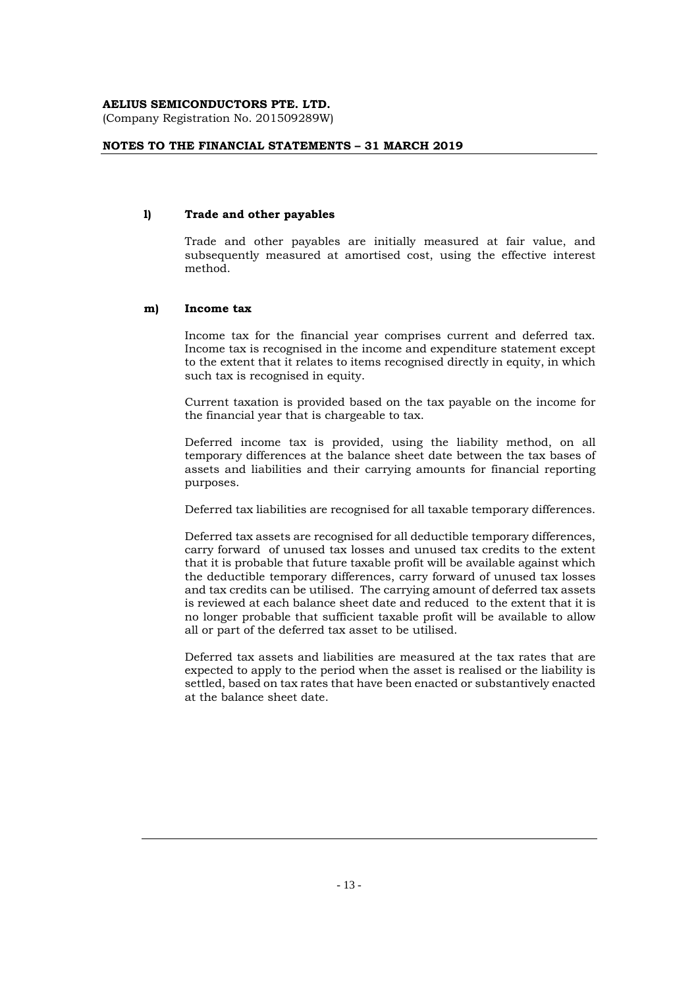(Company Registration No. 201509289W)

#### **NOTES TO THE FINANCIAL STATEMENTS – 31 MARCH 2019**

#### **l) Trade and other payables**

Trade and other payables are initially measured at fair value, and subsequently measured at amortised cost, using the effective interest method.

#### **m) Income tax**

Income tax for the financial year comprises current and deferred tax. Income tax is recognised in the income and expenditure statement except to the extent that it relates to items recognised directly in equity, in which such tax is recognised in equity.

Current taxation is provided based on the tax payable on the income for the financial year that is chargeable to tax.

Deferred income tax is provided, using the liability method, on all temporary differences at the balance sheet date between the tax bases of assets and liabilities and their carrying amounts for financial reporting purposes.

Deferred tax liabilities are recognised for all taxable temporary differences.

Deferred tax assets are recognised for all deductible temporary differences, carry forward of unused tax losses and unused tax credits to the extent that it is probable that future taxable profit will be available against which the deductible temporary differences, carry forward of unused tax losses and tax credits can be utilised. The carrying amount of deferred tax assets is reviewed at each balance sheet date and reduced to the extent that it is no longer probable that sufficient taxable profit will be available to allow all or part of the deferred tax asset to be utilised.

Deferred tax assets and liabilities are measured at the tax rates that are expected to apply to the period when the asset is realised or the liability is settled, based on tax rates that have been enacted or substantively enacted at the balance sheet date.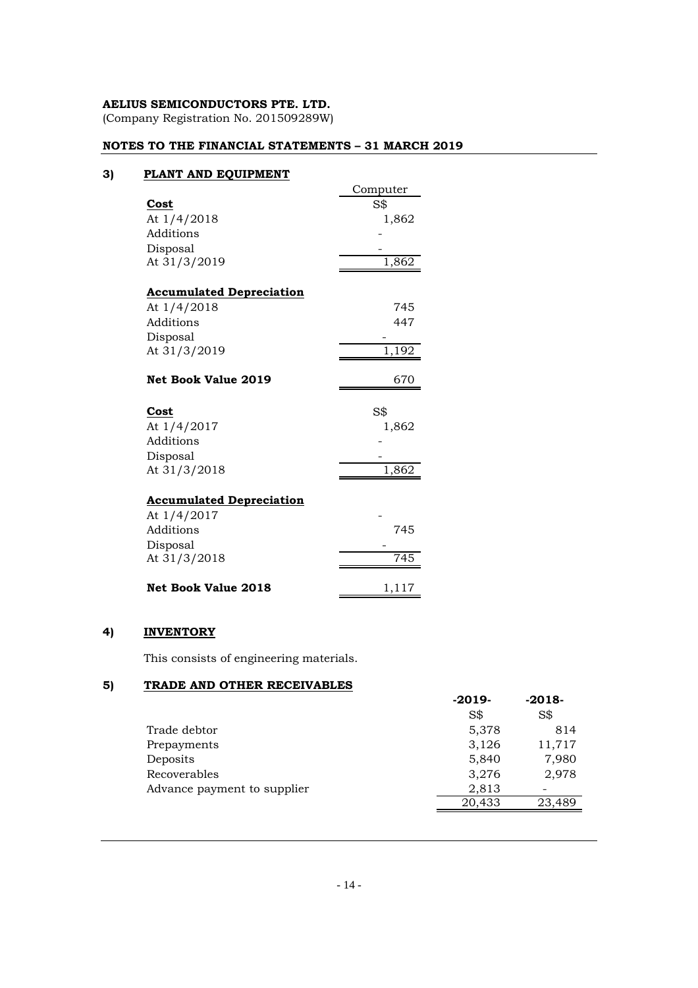(Company Registration No. 201509289W)

## **NOTES TO THE FINANCIAL STATEMENTS – 31 MARCH 2019**

## **3) PLANT AND EQUIPMENT**

|                                 | Computer |
|---------------------------------|----------|
| Cost                            | S\$      |
| At $1/4/2018$                   | 1,862    |
| Additions                       |          |
| Disposal                        |          |
| At 31/3/2019                    | 1,862    |
|                                 |          |
| <b>Accumulated Depreciation</b> |          |
| At $1/4/2018$                   | 745      |
| Additions                       | 447      |
| Disposal                        |          |
| At 31/3/2019                    | 1,192    |
|                                 |          |
| <b>Net Book Value 2019</b>      | 670      |
|                                 |          |
|                                 |          |
| Cost                            | S\$      |
| At $1/4/2017$                   | 1,862    |
| Additions                       |          |
| Disposal                        |          |
| At 31/3/2018                    | 1,862    |
|                                 |          |
| <b>Accumulated Depreciation</b> |          |
| At $1/4/2017$                   |          |
| Additions                       | 745      |
| Disposal                        |          |
| At 31/3/2018                    | 745      |
|                                 |          |

## **4) INVENTORY**

This consists of engineering materials.

## **5) TRADE AND OTHER RECEIVABLES**

|                             | $-2019-$ | $-2018-$ |
|-----------------------------|----------|----------|
|                             | S\$      | S\$      |
| Trade debtor                | 5,378    | 814      |
| Prepayments                 | 3,126    | 11,717   |
| Deposits                    | 5,840    | 7,980    |
| Recoverables                | 3,276    | 2,978    |
| Advance payment to supplier | 2,813    |          |
|                             | 20,433   | 23,489   |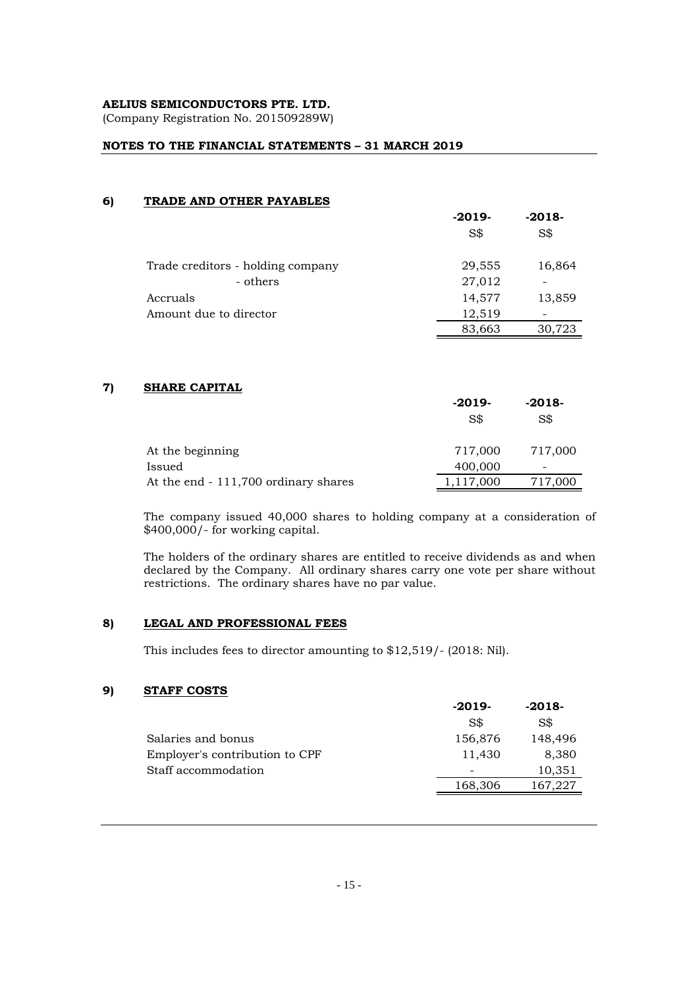(Company Registration No. 201509289W)

#### **NOTES TO THE FINANCIAL STATEMENTS – 31 MARCH 2019**

#### **6) TRADE AND OTHER PAYABLES**

|                                   | $-2019-$<br>S\$ | $-2018-$<br>S\$          |
|-----------------------------------|-----------------|--------------------------|
| Trade creditors - holding company | 29,555          | 16,864                   |
| - others                          | 27,012          | $\overline{\phantom{a}}$ |
| Accruals                          | 14,577          | 13,859                   |
| Amount due to director            | 12,519          |                          |
|                                   | 83,663          | 30,723                   |

#### **7) SHARE CAPITAL**

|                                      | $-2019-$  | $-2018-$ |
|--------------------------------------|-----------|----------|
|                                      | S\$       | S\$      |
| At the beginning                     | 717,000   | 717,000  |
| Issued                               | 400,000   |          |
| At the end - 111,700 ordinary shares | 1,117,000 | 717,000  |

The company issued 40,000 shares to holding company at a consideration of \$400,000/- for working capital.

The holders of the ordinary shares are entitled to receive dividends as and when declared by the Company. All ordinary shares carry one vote per share without restrictions. The ordinary shares have no par value.

## **8) LEGAL AND PROFESSIONAL FEES**

This includes fees to director amounting to \$12,519/- (2018: Nil).

## **9) STAFF COSTS**

|                                | $-2019-$ | $-2018-$ |
|--------------------------------|----------|----------|
|                                | S\$      | S\$      |
| Salaries and bonus             | 156,876  | 148,496  |
| Employer's contribution to CPF | 11,430   | 8,380    |
| Staff accommodation            |          | 10,351   |
|                                | 168,306  | 167,227  |
|                                |          |          |